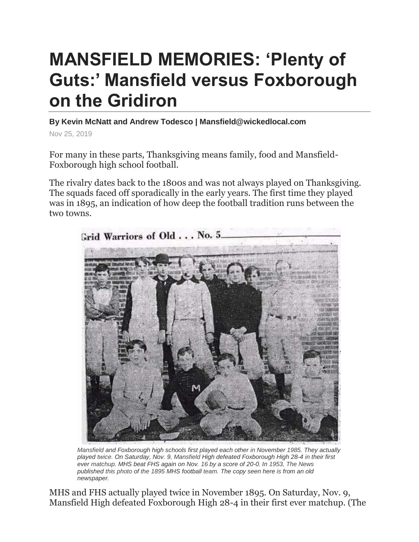## **MANSFIELD MEMORIES: 'Plenty of Guts:' Mansfield versus Foxborough on the Gridiron**

**By Kevin McNatt and Andrew Todesco | Mansfield@wickedlocal.com**

Nov 25, 2019

For many in these parts, Thanksgiving means family, food and Mansfield-Foxborough high school football.

The rivalry dates back to the 1800s and was not always played on Thanksgiving. The squads faced off sporadically in the early years. The first time they played was in 1895, an indication of how deep the football tradition runs between the two towns.



*Mansfield and Foxborough high schools first played each other in November 1985. They actually played twice. On Saturday, Nov. 9, Mansfield High defeated Foxborough High 28-4 in their first ever matchup. MHS beat FHS again on Nov. 16 by a score of 20-0. In 1953, The News published this photo of the 1895 MHS football team. The copy seen here is from an old newspaper.*

MHS and FHS actually played twice in November 1895. On Saturday, Nov. 9, Mansfield High defeated Foxborough High 28-4 in their first ever matchup. (The